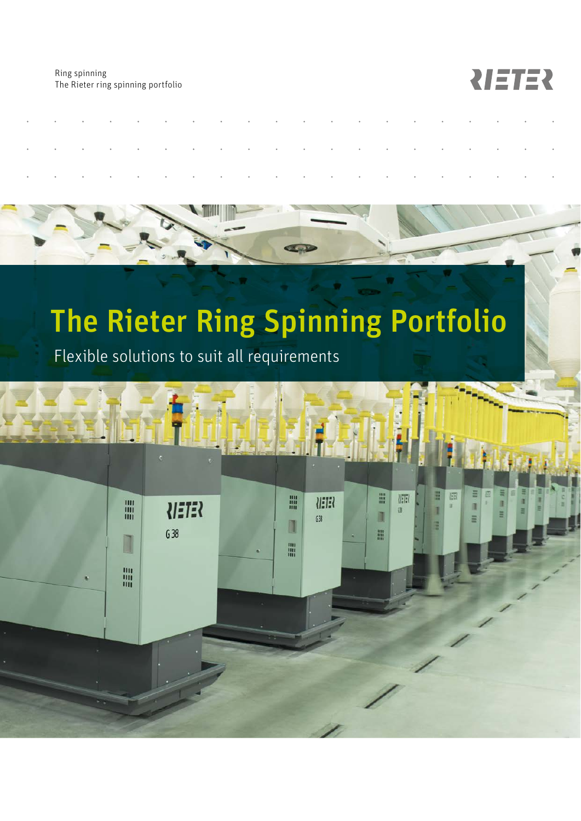Ring spinning The Rieter ring spinning portfolio

RIETER

# The Rieter Ring Spinning Portfolio

Flexible solutions to suit all requirements

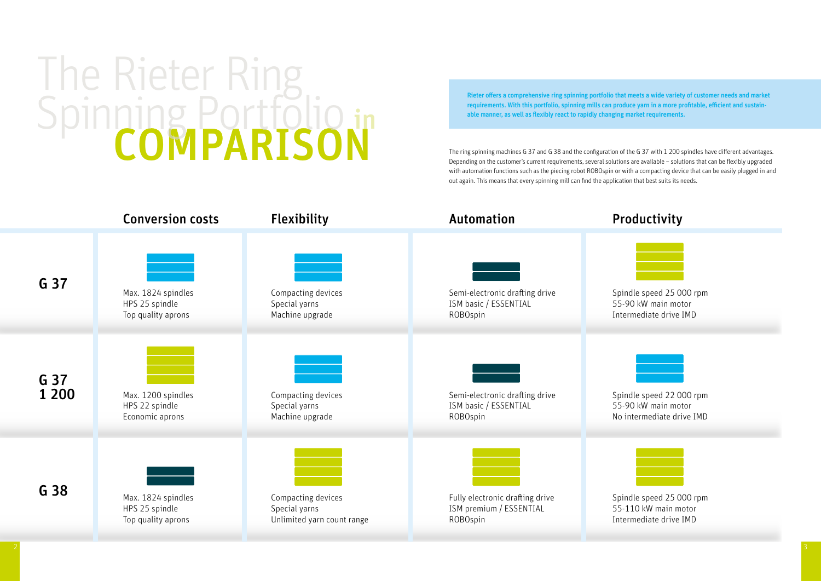# Spinning Portfolio in The Rieter Ring

Rieter offers a comprehensive ring spinning portfolio that meets a wide variety of customer needs and market requirements. With this portfolio, spinning mills can produce yarn in a more profitable, efficient and sustainable manner, as well as flexibly react to rapidly changing market requirements.

The ring spinning machines G 37 and G 38 and the configuration of the G 37 with 1 200 spindles have different advantages. Depending on the customer's current requirements, several solutions are available – solutions that can be flexibly upgraded with automation functions such as the piecing robot ROBOspin or with a compacting device that can be easily plugged in and out again. This means that every spinning mill can find the application that best suits its needs.

> Spindle speed 25 000 rpm 55-110 kW main motor Intermediate drive IMD





Spindle speed 22 000 rpm 55-90 kW main motor No intermediate drive IMD



Spindle speed 25 000 rpm 55-90 kW main motor Intermediate drive IMD

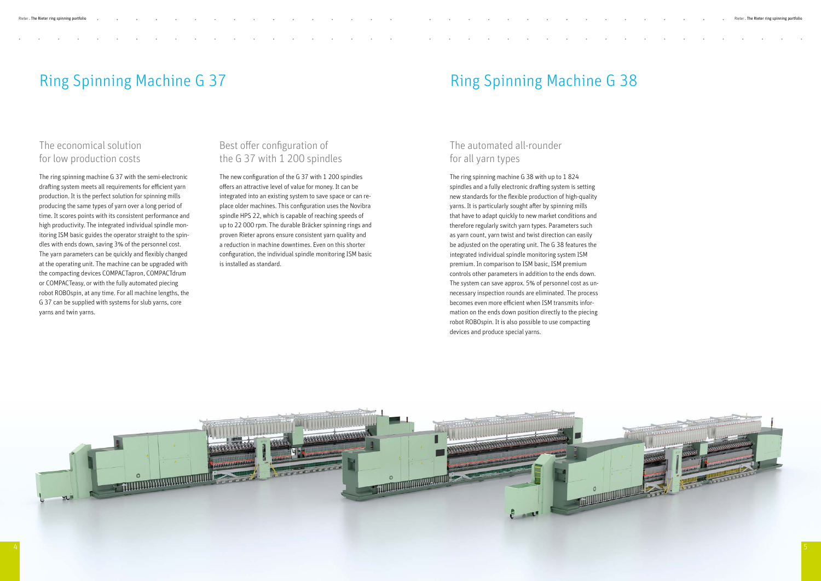#### Best offer configuration of the G 37 with 1 200 spindles

## The economical solution for low production costs

The new configuration of the G 37 with 1 200 spindles offers an attractive level of value for money. It can be integrated into an existing system to save space or can replace older machines. This configuration uses the Novibra spindle HPS 22, which is capable of reaching speeds of up to 22 000 rpm. The durable Bräcker spinning rings and proven Rieter aprons ensure consistent yarn quality and a reduction in machine downtimes. Even on this shorter configuration, the individual spindle monitoring ISM basic is installed as standard.

ssee the think that

The ring spinning machine G 37 with the semi-electronic drafting system meets all requirements for efficient yarn production. It is the perfect solution for spinning mills producing the same types of yarn over a long period of time. It scores points with its consistent performance and high productivity. The integrated individual spindle monitoring ISM basic guides the operator straight to the spindles with ends down, saving 3% of the personnel cost. The yarn parameters can be quickly and flexibly changed at the operating unit. The machine can be upgraded with the compacting devices COMPACTapron, COMPACTdrum or COMPACTeasy, or with the fully automated piecing robot ROBOspin, at any time. For all machine lengths, the G 37 can be supplied with systems for slub yarns, core yarns and twin yarns.

# Ring Spinning Machine G 37

## The automated all-rounder for all yarn types

The ring spinning machine G 38 with up to 1 824 spindles and a fully electronic drafting system is setting new standards for the flexible production of high-quality yarns. It is particularly sought after by spinning mills that have to adapt quickly to new market conditions and therefore regularly switch yarn types. Parameters such as yarn count, yarn twist and twist direction can easily be adjusted on the operating unit. The G 38 features the integrated individual spindle monitoring system ISM premium. In comparison to ISM basic, ISM premium controls other parameters in addition to the ends down. The system can save approx. 5% of personnel cost as unnecessary inspection rounds are eliminated. The process becomes even more efficient when ISM transmits information on the ends down position directly to the piecing robot ROBOspin. It is also possible to use compacting devices and produce special yarns.

# Ring Spinning Machine G 38



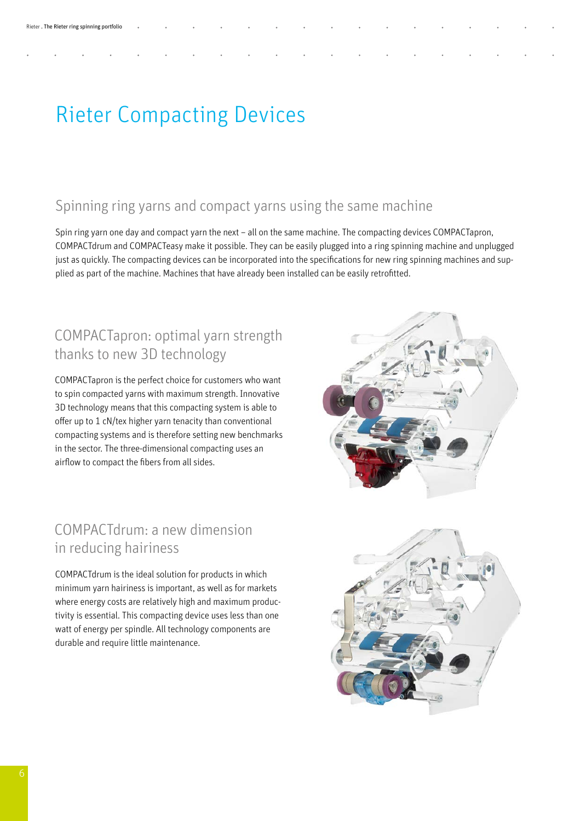# Rieter Compacting Devices

#### Spinning ring yarns and compact yarns using the same machine

Spin ring yarn one day and compact yarn the next – all on the same machine. The compacting devices COMPACTapron, COMPACTdrum and COMPACTeasy make it possible. They can be easily plugged into a ring spinning machine and unplugged just as quickly. The compacting devices can be incorporated into the specifications for new ring spinning machines and supplied as part of the machine. Machines that have already been installed can be easily retrofitted.

#### COMPACTapron: optimal yarn strength thanks to new 3D technology

COMPACTapron is the perfect choice for customers who want to spin compacted yarns with maximum strength. Innovative 3D technology means that this compacting system is able to offer up to 1 cN/tex higher yarn tenacity than conventional compacting systems and is therefore setting new benchmarks in the sector. The three-dimensional compacting uses an airflow to compact the fibers from all sides.

#### COMPACTdrum: a new dimension in reducing hairiness

COMPACTdrum is the ideal solution for products in which minimum yarn hairiness is important, as well as for markets where energy costs are relatively high and maximum productivity is essential. This compacting device uses less than one watt of energy per spindle. All technology components are durable and require little maintenance.



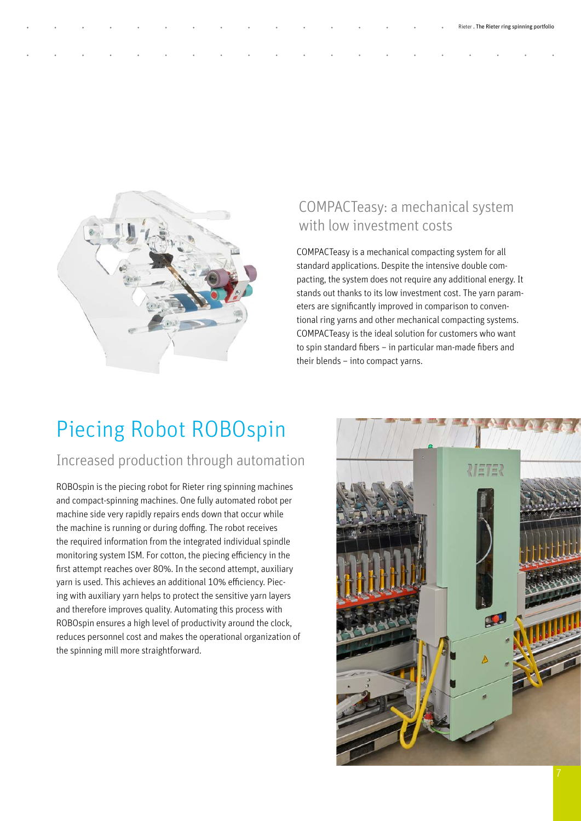

#### COMPACTeasy: a mechanical system with low investment costs

COMPACTeasy is a mechanical compacting system for all standard applications. Despite the intensive double compacting, the system does not require any additional energy. It stands out thanks to its low investment cost. The yarn parameters are significantly improved in comparison to conventional ring yarns and other mechanical compacting systems. COMPACTeasy is the ideal solution for customers who want to spin standard fibers – in particular man-made fibers and their blends – into compact yarns.

## Piecing Robot ROBOspin

#### Increased production through automation

ROBOspin is the piecing robot for Rieter ring spinning machines and compact-spinning machines. One fully automated robot per machine side very rapidly repairs ends down that occur while the machine is running or during doffing. The robot receives the required information from the integrated individual spindle monitoring system ISM. For cotton, the piecing efficiency in the first attempt reaches over 80%. In the second attempt, auxiliary yarn is used. This achieves an additional 10% efficiency. Piecing with auxiliary yarn helps to protect the sensitive yarn layers and therefore improves quality. Automating this process with ROBOspin ensures a high level of productivity around the clock, reduces personnel cost and makes the operational organization of the spinning mill more straightforward.